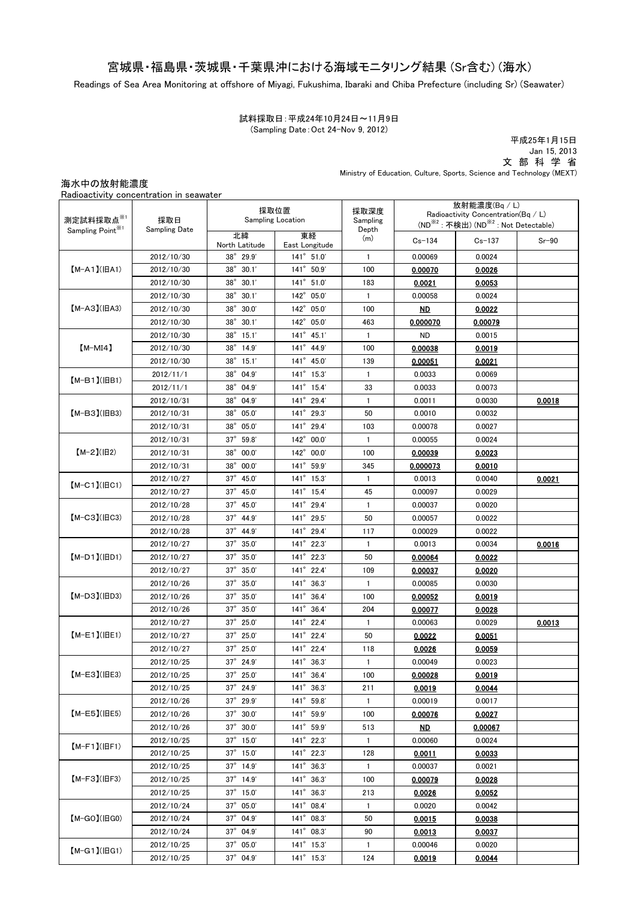## 宮城県・福島県・茨城県・千葉県沖における海域モニタリング結果 (Sr含む) (海水)

Readings of Sea Area Monitoring at offshore of Miyagi, Fukushima, Ibaraki and Chiba Prefecture (including Sr) (Seawater)

試料採取日:平成24年10月24日~11月9日 (Sampling Date:Oct 24-Nov 9, 2012)

平成25年1月15日 Jan 15, 2013 文 部 科 学 省 Ministry of Education, Culture, Sports, Science and Technology (MEXT)

海水中の放射能濃度

| 測定試料採取点※1<br>Sampling Point <sup>※1</sup> | 採取日<br><b>Sampling Date</b> | 採取位置<br><b>Sampling Location</b> |                        | 採取深度<br>Sampling | 放射能濃度(Bq / L)<br>Radioactivity Concentration( $Bq / L$ )<br>(ND <sup>※2</sup> : 不検出) (ND <sup>※2</sup> : Not Detectable) |            |         |
|-------------------------------------------|-----------------------------|----------------------------------|------------------------|------------------|--------------------------------------------------------------------------------------------------------------------------|------------|---------|
|                                           |                             | 北緯<br>North Latitude             | 東経<br>East Longitude   | Depth<br>(m)     | $Cs - 134$                                                                                                               | $Cs - 137$ | $Sr-90$ |
| $[M-A1](HA1)$                             | 2012/10/30                  | $38°$ 29.9'                      | 141° 51.0'             | $\mathbf{1}$     | 0.00069                                                                                                                  | 0.0024     |         |
|                                           | 2012/10/30                  | $38^\circ$<br>30.1'              | 141° 50.9'             | 100              | 0.00070                                                                                                                  | 0.0026     |         |
|                                           | 2012/10/30                  | $38^\circ$<br>30.1'              | 141° 51.0'             | 183              | 0.0021                                                                                                                   | 0.0053     |         |
| $[M-A3](HA3)$                             | 2012/10/30                  | $38^\circ$<br>30.1'              | $142^\circ$<br>05.0'   | 1                | 0.00058                                                                                                                  | 0.0024     |         |
|                                           | 2012/10/30                  | $38^\circ$<br>30.0'              | $142^\circ$<br>05.0'   | 100              | <b>ND</b>                                                                                                                | 0.0022     |         |
|                                           | 2012/10/30                  | $38^\circ$<br>30.1'              | $142^\circ$<br>05.0'   | 463              | 0.000070                                                                                                                 | 0.00079    |         |
| $[M-MI4]$                                 | 2012/10/30                  | $38^\circ$<br>15.1'              | $141^{\circ}$<br>45.1' | $\mathbf{1}$     | <b>ND</b>                                                                                                                | 0.0015     |         |
|                                           | 2012/10/30                  | $38^\circ$<br>14.9'              | $141^{\circ}$<br>44.9  | 100              | 0.00038                                                                                                                  | 0.0019     |         |
|                                           | 2012/10/30                  | $38^\circ$<br>15.1'              | $141^\circ$<br>45.0'   | 139              | 0.00051                                                                                                                  | 0.0021     |         |
| $(M-B1)(IBB1)$                            | 2012/11/1                   | $38^\circ$<br>04.9'              | $141^\circ$<br>15.3'   | 1                | 0.0033                                                                                                                   | 0.0069     |         |
|                                           | 2012/11/1                   | 04.9'<br>$38^\circ$              | $141^{\circ}$ 15.4'    | 33               | 0.0033                                                                                                                   | 0.0073     |         |
| 【M-B3】(旧B3)                               | 2012/10/31                  | $38^\circ$<br>04.9'              | 141° 29.4'             | 1                | 0.0011                                                                                                                   | 0.0030     | 0.0018  |
|                                           | 2012/10/31                  | $38^\circ$<br>05.0'              | $141^{\circ}$ 29.3'    | 50               | 0.0010                                                                                                                   | 0.0032     |         |
|                                           | 2012/10/31                  | $38^\circ$<br>05.0'              | 141° 29.4'             | 103              | 0.00078                                                                                                                  | 0.0027     |         |
|                                           | 2012/10/31                  | $37^\circ$<br>59.8               | 142° 00.0'             | -1               | 0.00055                                                                                                                  | 0.0024     |         |
| $(M-2)(H2)$                               | 2012/10/31                  | $38^\circ$<br>00.0'              | 142° 00.0'             | 100              | 0.00039                                                                                                                  | 0.0023     |         |
|                                           | 2012/10/31                  | $38^\circ$<br>00.0'              | 141° 59.9'             | 345              | 0.000073                                                                                                                 | 0.0010     |         |
|                                           | 2012/10/27                  | $37^\circ$<br>45.0'              | $141^{\circ}$ 15.3'    | 1                | 0.0013                                                                                                                   | 0.0040     | 0.0021  |
| $[M-C1]$ ( $ BC1$ )                       | 2012/10/27                  | $37^\circ$<br>45.0'              | 141° 15.4'             | 45               | 0.00097                                                                                                                  | 0.0029     |         |
| $[M-C3]$ ( $ BC3$ )                       | 2012/10/28                  | $37^\circ$<br>45.0'              | 141° 29.4'             | 1                | 0.00037                                                                                                                  | 0.0020     |         |
|                                           | 2012/10/28                  | $37^\circ$<br>44.9               | 141° 29.5'             | 50               | 0.00057                                                                                                                  | 0.0022     |         |
|                                           | 2012/10/28                  | $37^\circ$<br>44.9               | 141° 29.4'             | 117              | 0.00029                                                                                                                  | 0.0022     |         |
| $[M-D1]$ ( $ BD1$ )                       | 2012/10/27                  | $37^\circ$<br>35.0'              | 141° 22.3'             | 1                | 0.0013                                                                                                                   | 0.0034     | 0.0016  |
|                                           | 2012/10/27                  | $37^\circ$<br>35.0'              | 141° 22.3'             | 50               | 0.00064                                                                                                                  | 0.0022     |         |
|                                           | 2012/10/27                  | $37^\circ$<br>35.0'              | 141° 22.4'             | 109              | 0.00037                                                                                                                  | 0.0020     |         |
| $[M-D3]$ ( $ HD3$ )                       | 2012/10/26                  | $37^\circ$<br>35.0'              | 141° 36.3'             | 1                | 0.00085                                                                                                                  | 0.0030     |         |
|                                           | 2012/10/26                  | $37^\circ$<br>35.0'              | 141° 36.4'             | 100              | 0.00052                                                                                                                  | 0.0019     |         |
|                                           | 2012/10/26                  | $37^\circ$<br>35.0'              | $141^{\circ}$<br>36.4' | 204              | 0.00077                                                                                                                  | 0.0028     |         |
| $(M-E1)(HE1)$                             | 2012/10/27                  | $37^\circ$<br>25.0'              | 141° 22.4'             | 1                | 0.00063                                                                                                                  | 0.0029     | 0.0013  |
|                                           | 2012/10/27                  | $37^\circ$<br>25.0'              | 141° 22.4'             | 50               | 0.0022                                                                                                                   | 0.0051     |         |
|                                           | 2012/10/27                  | $37^\circ$<br>25.0'              | 141° 22.4'             | 118              | 0.0026                                                                                                                   | 0.0059     |         |
| $[M-E3](HE3)$                             | 2012/10/25                  | 37° 24.9'                        | 141° 36.3'             | 1                | 0.00049                                                                                                                  | 0.0023     |         |
|                                           | 2012/10/25                  | $37^\circ$ 25.0'                 | 141° 36.4'             | 100              | 0.00028                                                                                                                  | 0.0019     |         |
|                                           | 2012/10/25                  | $37^{\circ}$ 24.9'               | $141^{\circ}$ 36.3'    | 211              | 0.0019                                                                                                                   | 0.0044     |         |
| $(M-E5)(HE5)$                             | 2012/10/26                  | $37^{\circ}$ 29.9'               | 141° 59.8'             | $\mathbf{1}$     | 0.00019                                                                                                                  | 0.0017     |         |
|                                           | 2012/10/26                  | $37^{\circ}$ 30.0'               | 141° 59.9'             | 100              | 0.00076                                                                                                                  | 0.0027     |         |
|                                           | 2012/10/26                  | $37^\circ$ $30.0'$               | 141° 59.9'             | 513              | <u>ND</u>                                                                                                                | 0.00067    |         |
| $(M-F1)(HF1)$                             | 2012/10/25                  | $37^{\circ}$ 15.0'               | $141^{\circ}$ 22.3'    | $\mathbf{1}$     | 0.00060                                                                                                                  | 0.0024     |         |
|                                           | 2012/10/25                  | $37^{\circ}$ 15.0'               | $141^{\circ}$ 22.3'    | 128              | 0.0011                                                                                                                   | 0.0033     |         |
| $(M-F3)(HF3)$                             | 2012/10/25                  | $37^{\circ}$ 14.9'               | $141^{\circ}$ 36.3'    | 1                | 0.00037                                                                                                                  | 0.0021     |         |
|                                           | 2012/10/25                  | $37^\circ$ 14.9'                 | $141^{\circ}$ 36.3'    | 100              | 0.00079                                                                                                                  | 0.0028     |         |
|                                           | 2012/10/25                  | $37^\circ$ 15.0                  | $141^{\circ}$ 36.3'    | 213              | 0.0026                                                                                                                   | 0.0052     |         |
| $[M-GO](HGO)$                             | 2012/10/24                  | $37^{\circ}$ 05.0'               | 141° 08.4'             | -1               | 0.0020                                                                                                                   | 0.0042     |         |
|                                           | 2012/10/24                  | $37^{\circ}$ 04.9'               | 141° 08.3'             | 50               | 0.0015                                                                                                                   | 0.0038     |         |
|                                           | 2012/10/24                  | $37^{\circ}$ 04.9'               | 141° 08.3'             | 90               | 0.0013                                                                                                                   | 0.0037     |         |
|                                           | 2012/10/25                  | $37^{\circ}$ 05.0'               | $141^{\circ}$ 15.3'    | $\mathbf{1}$     | 0.00046                                                                                                                  | 0.0020     |         |
| $[M-G1]$ ( $ HG1$ )                       | 2012/10/25                  | 37° 04.9'                        | 141° 15.3'             | 124              | 0.0019                                                                                                                   | 0.0044     |         |

Radioactivity concentration in seawater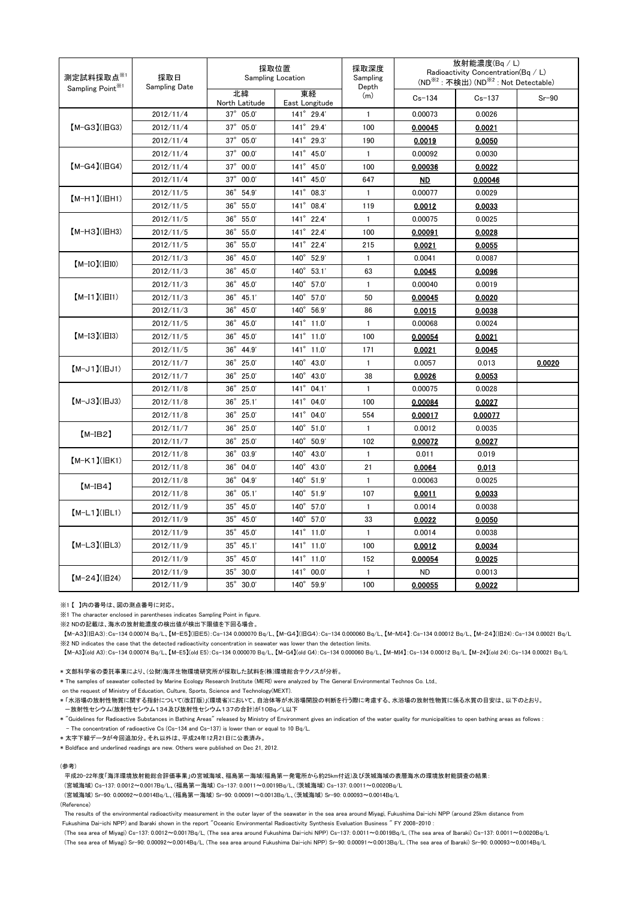| 測定試料採取点 <sup>※1</sup><br>Sampling Point <sup>※1</sup> | 採取日<br>Sampling Date | 採取位置<br><b>Sampling Location</b> |                      | 採取深度<br>Sampling<br>Depth | 放射能濃度(Bq/L)<br>Radioactivity Concentration(Bq / L)<br>(ND <sup>※2</sup> : 不検出) (ND <sup>※2</sup> : Not Detectable) |            |         |
|-------------------------------------------------------|----------------------|----------------------------------|----------------------|---------------------------|--------------------------------------------------------------------------------------------------------------------|------------|---------|
|                                                       |                      | 北緯<br>North Latitude             | 東経<br>East Longitude | (m)                       | $Cs - 134$                                                                                                         | $Cs - 137$ | $Sr-90$ |
| 【M-G3】(旧G3)                                           | 2012/11/4            | 37° 05.0'                        | 141° 29.4'           | $\mathbf{1}$              | 0.00073                                                                                                            | 0.0026     |         |
|                                                       | 2012/11/4            | 37° 05.0'                        | 141° 29.4'           | 100                       | 0.00045                                                                                                            | 0.0021     |         |
|                                                       | 2012/11/4            | $37^\circ$<br>05.0'              | $141^\circ$<br>29.3' | 190                       | 0.0019                                                                                                             | 0.0050     |         |
| $[M-G4]$ ( $ HG4$ )                                   | 2012/11/4            | 37° 00.0'                        | 141° 45.0'           | $\mathbf{1}$              | 0.00092                                                                                                            | 0.0030     |         |
|                                                       | 2012/11/4            | $37^\circ$<br>00.0'              | 141° 45.0'           | 100                       | 0.00036                                                                                                            | 0.0022     |         |
|                                                       | 2012/11/4            | $37^\circ$<br>00.0'              | $141^{\circ}$ 45.0'  | 647                       | <u>ND</u>                                                                                                          | 0.00046    |         |
| 【M-H1】(旧H1)                                           | 2012/11/5            | $36^{\circ}$ 54.9'               | $141^{\circ}$ 08.3'  | $\mathbf{1}$              | 0.00077                                                                                                            | 0.0029     |         |
|                                                       | 2012/11/5            | $36^\circ$<br>55.0'              | 141° 08.4'           | 119                       | 0.0012                                                                                                             | 0.0033     |         |
| 【М-НЗ】(旧Н3)                                           | 2012/11/5            | $36^\circ$<br>55.0'              | $141^\circ$<br>22.4' | $\mathbf{1}$              | 0.00075                                                                                                            | 0.0025     |         |
|                                                       | 2012/11/5            | $36^\circ$<br>55.0'              | 141° 22.4'           | 100                       | 0.00091                                                                                                            | 0.0028     |         |
|                                                       | 2012/11/5            | $36^{\circ}$<br>55.0'            | 141° 22.4'           | 215                       | 0.0021                                                                                                             | 0.0055     |         |
| $(M-IO)(IBIO)$                                        | 2012/11/3            | $36^\circ$<br>45.0'              | 140° 52.9'           | $\mathbf{1}$              | 0.0041                                                                                                             | 0.0087     |         |
|                                                       | 2012/11/3            | $36^\circ$<br>45.0'              | 140° 53.1'           | 63                        | 0.0045                                                                                                             | 0.0096     |         |
|                                                       | 2012/11/3            | $36^\circ$<br>45.0'              | 140° 57.0'           | $\mathbf{1}$              | 0.00040                                                                                                            | 0.0019     |         |
| $[M-I1](\vert \vert II1)$                             | 2012/11/3            | $36^{\circ}$<br>45.1'            | 140° 57.0'           | 50                        | 0.00045                                                                                                            | 0.0020     |         |
|                                                       | 2012/11/3            | $36^\circ$<br>45.0'              | $140^\circ$<br>56.9' | 86                        | 0.0015                                                                                                             | 0.0038     |         |
| $[M-I3](H13)$                                         | 2012/11/5            | $36^\circ$<br>45.0'              | $141^{\circ}$ 11.0   | $\mathbf{1}$              | 0.00068                                                                                                            | 0.0024     |         |
|                                                       | 2012/11/5            | $36^\circ$<br>45.0'              | 141° 11.0'           | 100                       | 0.00054                                                                                                            | 0.0021     |         |
|                                                       | 2012/11/5            | $36^{\circ}$<br>44.9             | 141° 11.0'           | 171                       | 0.0021                                                                                                             | 0.0045     |         |
| $[M-J1](HJI)$                                         | 2012/11/7            | $36^\circ$<br>25.0'              | $140^\circ$<br>43.0' | $\mathbf{1}$              | 0.0057                                                                                                             | 0.013      | 0.0020  |
|                                                       | 2012/11/7            | $36^\circ$<br>25.0'              | 140° 43.0'           | 38                        | 0.0026                                                                                                             | 0.0053     |         |
| $[M-J3](HJ3)$                                         | 2012/11/8            | $36^\circ$<br>25.0'              | $141^{\circ}$ 04.1'  | $\mathbf{1}$              | 0.00075                                                                                                            | 0.0028     |         |
|                                                       | 2012/11/8            | $36^\circ$<br>25.1'              | 141° 04.0'           | 100                       | 0.00084                                                                                                            | 0.0027     |         |
|                                                       | 2012/11/8            | $36^\circ$<br>25.0'              | 141° 04.0'           | 554                       | 0.00017                                                                                                            | 0.00077    |         |
| $[M-IB2]$                                             | 2012/11/7            | $36^\circ$<br>25.0'              | 140° 51.0'           | $\mathbf{1}$              | 0.0012                                                                                                             | 0.0035     |         |
|                                                       | 2012/11/7            | $36^\circ$<br>25.0'              | $140^\circ$<br>50.9' | 102                       | 0.00072                                                                                                            | 0.0027     |         |
| $[M-K1](HK1)$                                         | 2012/11/8            | $36^\circ$<br>03.9               | $140^\circ$<br>43.0  | $\mathbf{1}$              | 0.011                                                                                                              | 0.019      |         |
|                                                       | 2012/11/8            | $36^\circ$<br>04.0'              | $140^\circ$<br>43.0' | 21                        | 0.0064                                                                                                             | 0.013      |         |
| $[M-IB4]$                                             | 2012/11/8            | 36° 04.9'                        | 140° 51.9'           | $\mathbf{1}$              | 0.00063                                                                                                            | 0.0025     |         |
|                                                       | 2012/11/8            | $36^\circ$<br>05.1'              | $140^\circ$<br>51.9' | 107                       | 0.0011                                                                                                             | 0.0033     |         |
| $[M-L1](HL1)$                                         | 2012/11/9            | $35^\circ$<br>45.0'              | 57.0'<br>$140^\circ$ | $\mathbf{1}$              | 0.0014                                                                                                             | 0.0038     |         |
|                                                       | 2012/11/9            | $35^\circ$<br>45.0'              | 140° 57.0'           | 33                        | 0.0022                                                                                                             | 0.0050     |         |
| $[M-L3](HL3)$                                         | 2012/11/9            | $35^\circ$<br>45.0'              | 141° 11.0'           | $\mathbf{1}$              | 0.0014                                                                                                             | 0.0038     |         |
|                                                       | 2012/11/9            | $35^\circ$<br>45.1'              | $141^{\circ}$ 11.0'  | 100                       | 0.0012                                                                                                             | 0.0034     |         |
|                                                       | 2012/11/9            | $35^\circ$<br>45.0'              | 141° 11.0'           | 152                       | 0.00054                                                                                                            | 0.0025     |         |
| $[M-24](H24)$                                         | 2012/11/9            | $35^\circ$<br>30.0'              | $141^{\circ}$ 00.0'  | $\mathbf{1}$              | <b>ND</b>                                                                                                          | 0.0013     |         |
|                                                       | 2012/11/9            | 35° 30.0'                        | 140° 59.9'           | 100                       | 0.00055                                                                                                            | 0.0022     |         |

※1 【 】内の番号は、図の測点番号に対応。

※1 The character enclosed in parentheses indicates Sampling Point in figure.

※2 NDの記載は、海水の放射能濃度の検出値が検出下限値を下回る場合。

【M-A3】(旧A3):Cs-134 0.00074 Bq/L、【M-E5】(旧E5):Cs-134 0.000070 Bq/L、【M-G4】(旧G4):Cs-134 0.000060 Bq/L、【M-MI4】:Cs-134 0.00012 Bq/L、【M-24】(旧24):Cs-134 0.00021 Bq/L ※2 ND indicates the case that the detected radioactivity concentration in seawater was lower than the detection limits.

【M-A3】(old A3):Cs-134 0.00074 Bq/L、【M-E5】(old E5):Cs-134 0.000070 Bq/L、【M-G4】(old G4):Cs-134 0.000060 Bq/L、【M-MI4】:Cs-134 0.00012 Bq/L, 【M-24】(old 24):Cs-134 0.00021 Bq/L

\* 文部科学省の委託事業により、(公財)海洋生物環境研究所が採取した試料を(株)環境総合テクノスが分析。

\* The samples of seawater collected by Marine Ecology Research Institute (MERI) were analyzed by The General Environmental Technos Co. Ltd.,

on the request of Ministry of Education, Culture, Sports, Science and Technology(MEXT).

\* 「水浴場の放射性物質に関する指針について(改訂版)」(環境省)において、自治体等が水浴場開設の判断を行う際に考慮する、水浴場の放射性物質に係る水質の目安は、以下のとおり。 -放射性セシウム(放射性セシウム134及び放射性セシウム137の合計)が10Bq/L以下

\* "Guidelines for Radioactive Substances in Bathing Areas" released by Ministry of Environment gives an indication of the water quality for municipalities to open bathing areas as follows : - The concentration of radioactive Cs (Cs-134 and Cs-137) is lower than or equal to 10 Bq/L.

\* 太字下線データが今回追加分。それ以外は、平成24年12月21日に公表済み。

\* Boldface and underlined readings are new. Others were published on Dec 21, 2012.

(参考)

平成20-22年度「海洋環境放射能総合評価事業」の宮城海域、福島第一海域(福島第一発電所から約25km付近)及び茨城海域の表層海水の環境放射能調査の結果:

(宮城海域) Cs-137: 0.0012~0.0017Bq/L、(福島第一海域) Cs-137: 0.0011~0.0019Bq/L、(茨城海域) Cs-137: 0.0011~0.0020Bq/L

(宮城海域) Sr-90: 0.00092~0.0014Bq/L、(福島第一海域) Sr-90: 0.00091~0.0013Bq/L、(茨城海域) Sr-90: 0.00093~0.0014Bq/L

## (Reference)

The results of the environmental radioactivity measurement in the outer layer of the seawater in the sea area around Miyagi, Fukushima Dai-ichi NPP (around 25km distance from Fukushima Dai-ichi NPP) and Ibaraki shown in the report "Oceanic Environmental Radioactivity Synthesis Evaluation Business " FY 2008-2010 :

(The sea area of Miyagi) Cs-137: 0.0012~0.0017Bq/L, (The sea area around Fukushima Dai-ichi NPP) Cs-137: 0.0011~0.0019Bq/L, (The sea area of Ibaraki) Cs-137: 0.0011~0.0020Bq/L (The sea area of Miyagi) Sr-90: 0.00092~0.0014Bq/L, (The sea area around Fukushima Dai-ichi NPP) Sr-90: 0.00091~0.0013Bq/L, (The sea area of Ibaraki) Sr-90: 0.00093~0.0014Bq/L